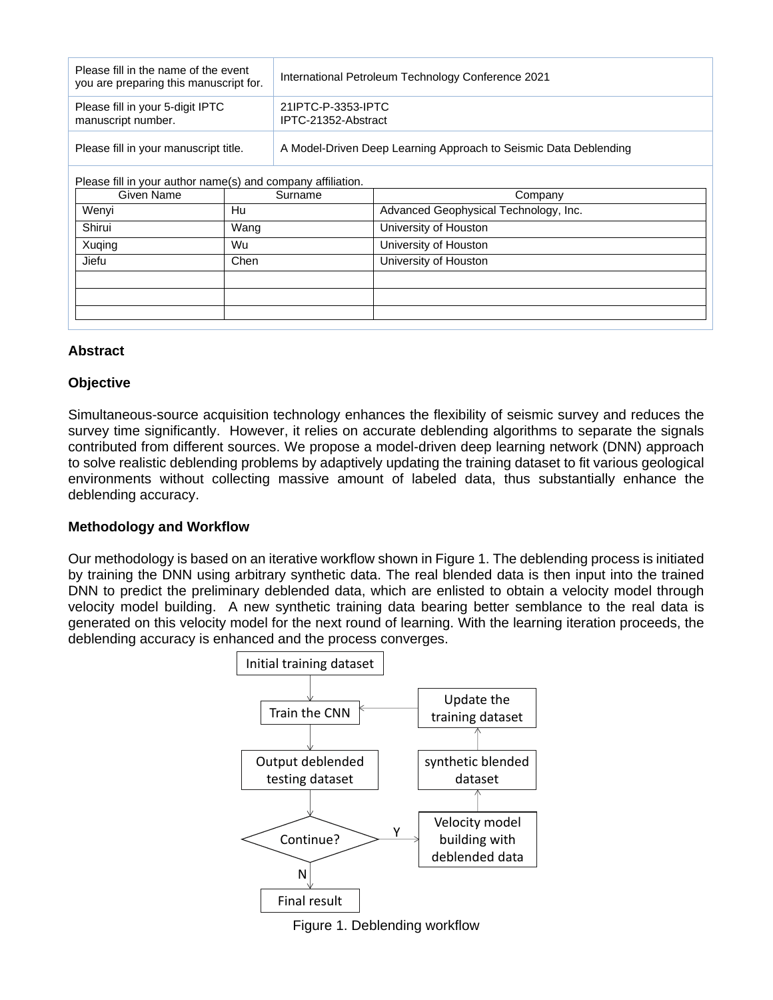| Please fill in the name of the event<br>you are preparing this manuscript for. |         | International Petroleum Technology Conference 2021               |                                       |
|--------------------------------------------------------------------------------|---------|------------------------------------------------------------------|---------------------------------------|
| Please fill in your 5-digit IPTC<br>manuscript number.                         |         | 21 IPTC-P-3353-IPTC<br>IPTC-21352-Abstract                       |                                       |
| Please fill in your manuscript title.                                          |         | A Model-Driven Deep Learning Approach to Seismic Data Deblending |                                       |
| Please fill in your author name(s) and company affiliation.                    |         |                                                                  |                                       |
| Given Name                                                                     | Surname |                                                                  | Company                               |
| Wenyi                                                                          | Hu      |                                                                  | Advanced Geophysical Technology, Inc. |
| Shirui                                                                         | Wang    |                                                                  | University of Houston                 |
| Xuqing                                                                         | Wu      |                                                                  | University of Houston                 |
| Jiefu                                                                          | Chen    |                                                                  | University of Houston                 |

## **Abstract**

### **Objective**

Simultaneous-source acquisition technology enhances the flexibility of seismic survey and reduces the survey time significantly. However, it relies on accurate deblending algorithms to separate the signals contributed from different sources. We propose a model-driven deep learning network (DNN) approach to solve realistic deblending problems by adaptively updating the training dataset to fit various geological environments without collecting massive amount of labeled data, thus substantially enhance the deblending accuracy.

# **Methodology and Workflow**

Our methodology is based on an iterative workflow shown in Figure 1. The deblending process is initiated by training the DNN using arbitrary synthetic data. The real blended data is then input into the trained DNN to predict the preliminary deblended data, which are enlisted to obtain a velocity model through velocity model building. A new synthetic training data bearing better semblance to the real data is generated on this velocity model for the next round of learning. With the learning iteration proceeds, the deblending accuracy is enhanced and the process converges.



Figure 1. Deblending workflow